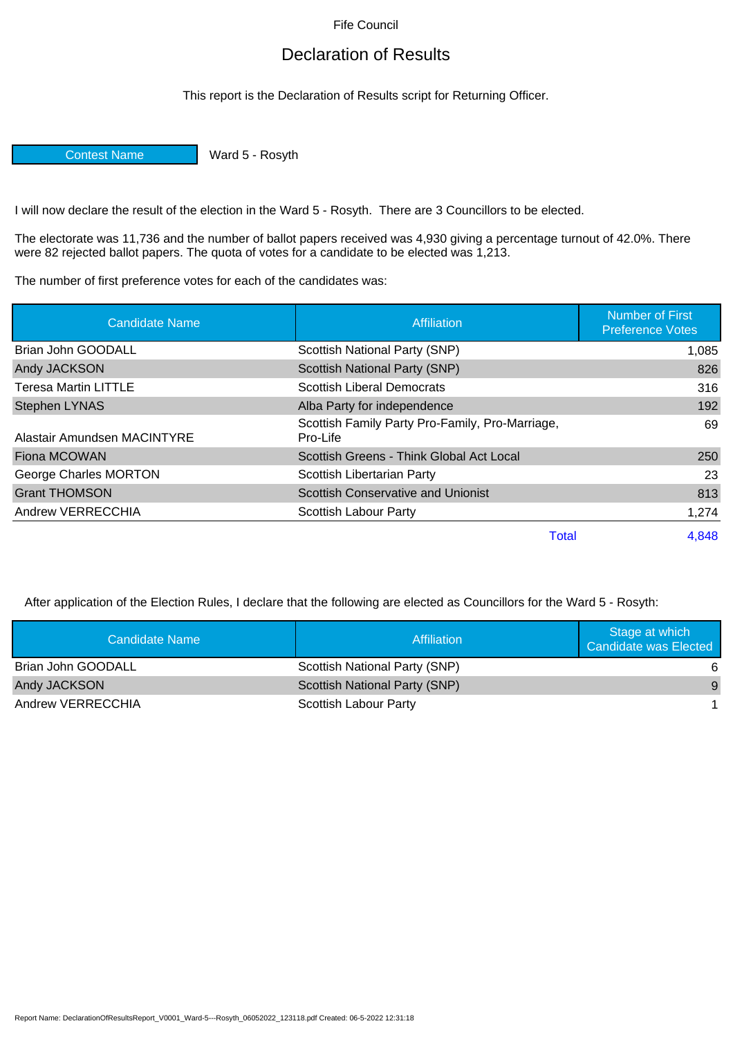Fife Council

## Declaration of Results

This report is the Declaration of Results script for Returning Officer.

Contest Name Ward 5 - Rosyth

I will now declare the result of the election in the Ward 5 - Rosyth. There are 3 Councillors to be elected.

The electorate was 11,736 and the number of ballot papers received was 4,930 giving a percentage turnout of 42.0%. There were 82 rejected ballot papers. The quota of votes for a candidate to be elected was 1,213.

The number of first preference votes for each of the candidates was:

| Candidate Name              | <b>Affiliation</b>                                          | <b>Number of First</b><br><b>Preference Votes</b> |
|-----------------------------|-------------------------------------------------------------|---------------------------------------------------|
| Brian John GOODALL          | Scottish National Party (SNP)                               | 1,085                                             |
| Andy JACKSON                | <b>Scottish National Party (SNP)</b>                        | 826                                               |
| <b>Teresa Martin LITTLE</b> | <b>Scottish Liberal Democrats</b>                           | 316                                               |
| <b>Stephen LYNAS</b>        | Alba Party for independence                                 | 192                                               |
| Alastair Amundsen MACINTYRE | Scottish Family Party Pro-Family, Pro-Marriage,<br>Pro-Life | 69                                                |
| <b>Fiona MCOWAN</b>         | Scottish Greens - Think Global Act Local                    | 250                                               |
| George Charles MORTON       | Scottish Libertarian Party                                  | 23                                                |
| <b>Grant THOMSON</b>        | <b>Scottish Conservative and Unionist</b>                   | 813                                               |
| Andrew VERRECCHIA           | Scottish Labour Party                                       | 1,274                                             |
|                             | <b>Total</b>                                                | 4,848                                             |

After application of the Election Rules, I declare that the following are elected as Councillors for the Ward 5 - Rosyth:

| Candidate Name     | Affiliation                   | Stage at which<br>Candidate was Elected |
|--------------------|-------------------------------|-----------------------------------------|
| Brian John GOODALL | Scottish National Party (SNP) | 6                                       |
| Andy JACKSON       | Scottish National Party (SNP) | -9                                      |
| Andrew VERRECCHIA  | Scottish Labour Party         |                                         |